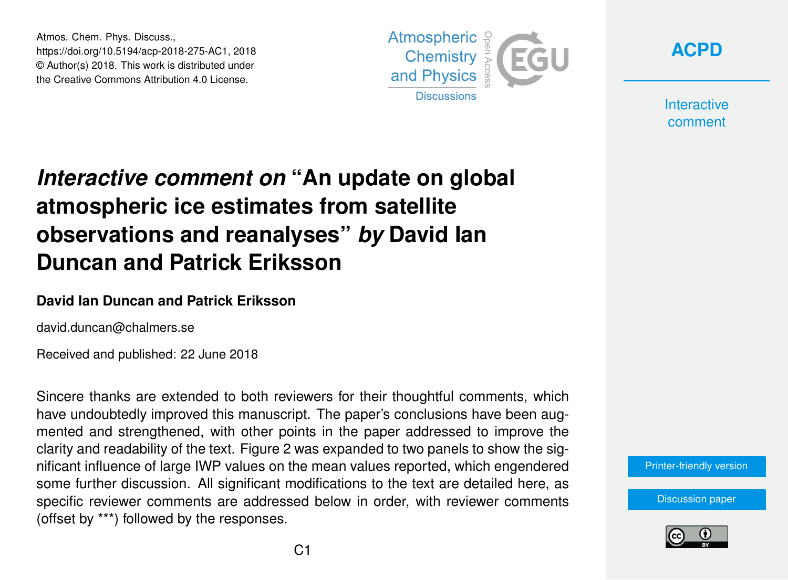Atmos. Chem. Phys. Discuss., https://doi.org/10.5194/acp-2018-275-AC1, 2018 © Author(s) 2018. This work is distributed under the Creative Commons Attribution 4.0 License.





**Interactive** comment

# *Interactive comment on* **"An update on global atmospheric ice estimates from satellite observations and reanalyses"** *by* **David Ian Duncan and Patrick Eriksson**

#### **David Ian Duncan and Patrick Eriksson**

david.duncan@chalmers.se

Received and published: 22 June 2018

Sincere thanks are extended to both reviewers for their thoughtful comments, which have undoubtedly improved this manuscript. The paper's conclusions have been augmented and strengthened, with other points in the paper addressed to improve the clarity and readability of the text. Figure 2 was expanded to two panels to show the significant influence of large IWP values on the mean values reported, which engendered some further discussion. All significant modifications to the text are detailed here, as specific reviewer comments are addressed below in order, with reviewer comments (offset by \*\*\*) followed by the responses.

[Printer-friendly version](https://www.atmos-chem-phys-discuss.net/acp-2018-275/acp-2018-275-AC1-print.pdf)

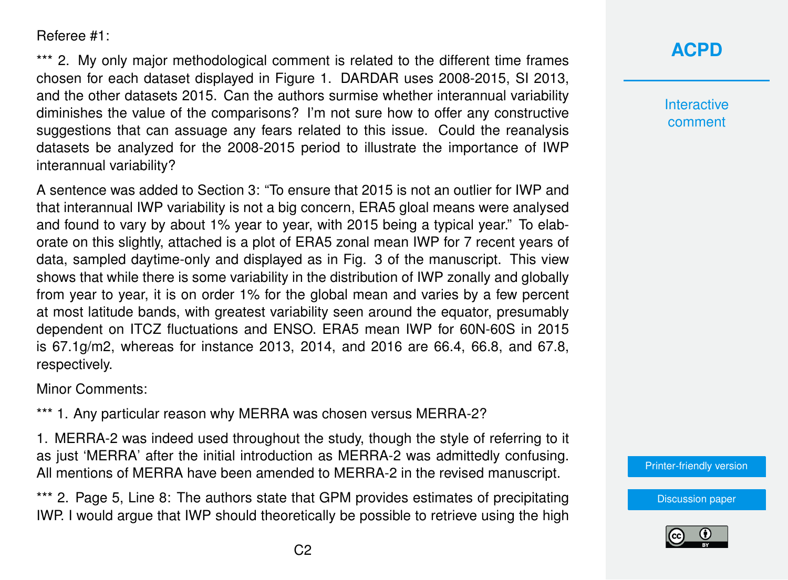Referee #1:

\*\*\* 2. My only major methodological comment is related to the different time frames chosen for each dataset displayed in Figure 1. DARDAR uses 2008-2015, SI 2013, and the other datasets 2015. Can the authors surmise whether interannual variability diminishes the value of the comparisons? I'm not sure how to offer any constructive suggestions that can assuage any fears related to this issue. Could the reanalysis datasets be analyzed for the 2008-2015 period to illustrate the importance of IWP interannual variability?

A sentence was added to Section 3: "To ensure that 2015 is not an outlier for IWP and that interannual IWP variability is not a big concern, ERA5 gloal means were analysed and found to vary by about 1% year to year, with 2015 being a typical year." To elaborate on this slightly, attached is a plot of ERA5 zonal mean IWP for 7 recent years of data, sampled daytime-only and displayed as in Fig. 3 of the manuscript. This view shows that while there is some variability in the distribution of IWP zonally and globally from year to year, it is on order 1% for the global mean and varies by a few percent at most latitude bands, with greatest variability seen around the equator, presumably dependent on ITCZ fluctuations and ENSO. ERA5 mean IWP for 60N-60S in 2015 is 67.1g/m2, whereas for instance 2013, 2014, and 2016 are 66.4, 66.8, and 67.8, respectively.

Minor Comments:

\*\*\* 1. Any particular reason why MERRA was chosen versus MERRA-2?

1. MERRA-2 was indeed used throughout the study, though the style of referring to it as just 'MERRA' after the initial introduction as MERRA-2 was admittedly confusing. All mentions of MERRA have been amended to MERRA-2 in the revised manuscript.

\*\*\* 2. Page 5, Line 8: The authors state that GPM provides estimates of precipitating IWP. I would argue that IWP should theoretically be possible to retrieve using the high



**Interactive** comment

[Printer-friendly version](https://www.atmos-chem-phys-discuss.net/acp-2018-275/acp-2018-275-AC1-print.pdf)

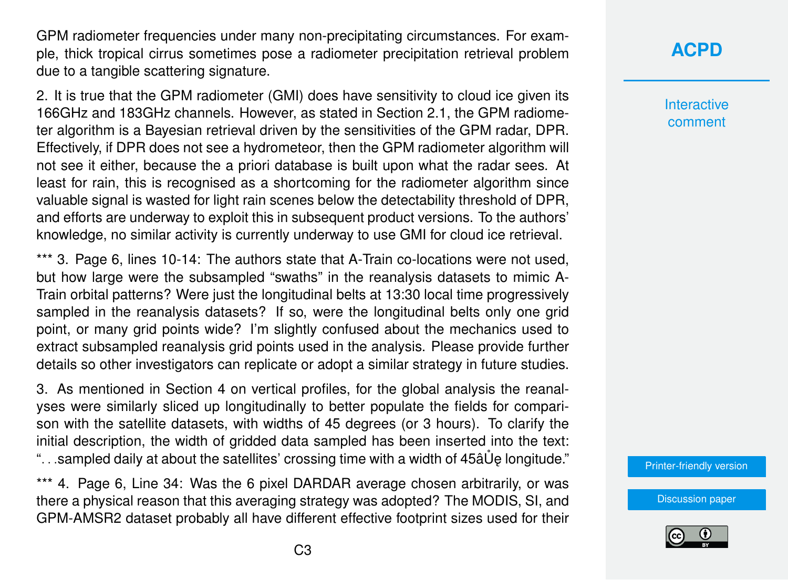GPM radiometer frequencies under many non-precipitating circumstances. For example, thick tropical cirrus sometimes pose a radiometer precipitation retrieval problem due to a tangible scattering signature.

2. It is true that the GPM radiometer (GMI) does have sensitivity to cloud ice given its 166GHz and 183GHz channels. However, as stated in Section 2.1, the GPM radiometer algorithm is a Bayesian retrieval driven by the sensitivities of the GPM radar, DPR. Effectively, if DPR does not see a hydrometeor, then the GPM radiometer algorithm will not see it either, because the a priori database is built upon what the radar sees. At least for rain, this is recognised as a shortcoming for the radiometer algorithm since valuable signal is wasted for light rain scenes below the detectability threshold of DPR, and efforts are underway to exploit this in subsequent product versions. To the authors' knowledge, no similar activity is currently underway to use GMI for cloud ice retrieval.

\*\*\* 3. Page 6, lines 10-14: The authors state that A-Train co-locations were not used. but how large were the subsampled "swaths" in the reanalysis datasets to mimic A-Train orbital patterns? Were just the longitudinal belts at 13:30 local time progressively sampled in the reanalysis datasets? If so, were the longitudinal belts only one grid point, or many grid points wide? I'm slightly confused about the mechanics used to extract subsampled reanalysis grid points used in the analysis. Please provide further details so other investigators can replicate or adopt a similar strategy in future studies.

3. As mentioned in Section 4 on vertical profiles, for the global analysis the reanalyses were similarly sliced up longitudinally to better populate the fields for comparison with the satellite datasets, with widths of 45 degrees (or 3 hours). To clarify the initial description, the width of gridded data sampled has been inserted into the text: "...sampled daily at about the satellites' crossing time with a width of  $45a\ddot{\theta}$  longitude."

\*\*\* 4. Page 6, Line 34: Was the 6 pixel DARDAR average chosen arbitrarily, or was there a physical reason that this averaging strategy was adopted? The MODIS, SI, and GPM-AMSR2 dataset probably all have different effective footprint sizes used for their

# **[ACPD](https://www.atmos-chem-phys-discuss.net/)**

**Interactive** comment

[Printer-friendly version](https://www.atmos-chem-phys-discuss.net/acp-2018-275/acp-2018-275-AC1-print.pdf)

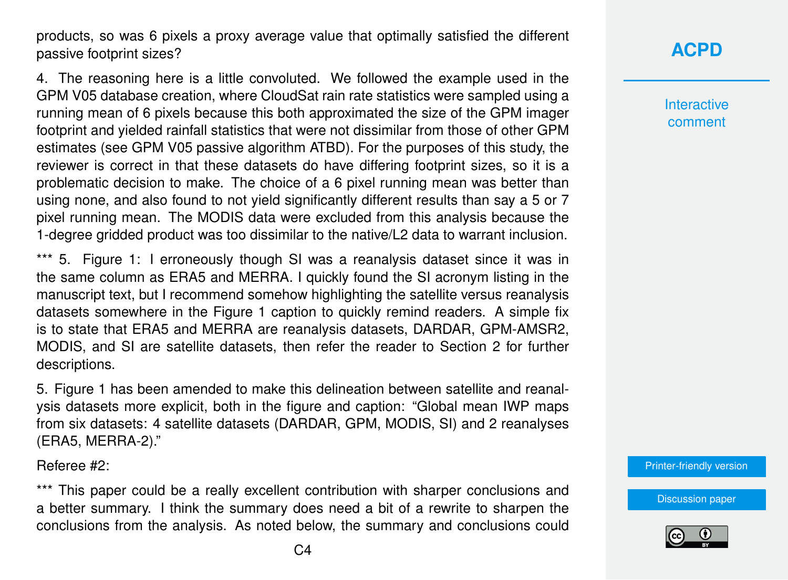products, so was 6 pixels a proxy average value that optimally satisfied the different passive footprint sizes?

4. The reasoning here is a little convoluted. We followed the example used in the GPM V05 database creation, where CloudSat rain rate statistics were sampled using a running mean of 6 pixels because this both approximated the size of the GPM imager footprint and yielded rainfall statistics that were not dissimilar from those of other GPM estimates (see GPM V05 passive algorithm ATBD). For the purposes of this study, the reviewer is correct in that these datasets do have differing footprint sizes, so it is a problematic decision to make. The choice of a 6 pixel running mean was better than using none, and also found to not yield significantly different results than say a 5 or 7 pixel running mean. The MODIS data were excluded from this analysis because the 1-degree gridded product was too dissimilar to the native/L2 data to warrant inclusion.

\*\*\* 5. Figure 1: I erroneously though SI was a reanalysis dataset since it was in the same column as ERA5 and MERRA. I quickly found the SI acronym listing in the manuscript text, but I recommend somehow highlighting the satellite versus reanalysis datasets somewhere in the Figure 1 caption to quickly remind readers. A simple fix is to state that ERA5 and MERRA are reanalysis datasets, DARDAR, GPM-AMSR2, MODIS, and SI are satellite datasets, then refer the reader to Section 2 for further descriptions.

5. Figure 1 has been amended to make this delineation between satellite and reanalysis datasets more explicit, both in the figure and caption: "Global mean IWP maps from six datasets: 4 satellite datasets (DARDAR, GPM, MODIS, SI) and 2 reanalyses (ERA5, MERRA-2)."

Referee #2:

\*\*\* This paper could be a really excellent contribution with sharper conclusions and a better summary. I think the summary does need a bit of a rewrite to sharpen the conclusions from the analysis. As noted below, the summary and conclusions could **Interactive** comment

[Printer-friendly version](https://www.atmos-chem-phys-discuss.net/acp-2018-275/acp-2018-275-AC1-print.pdf)

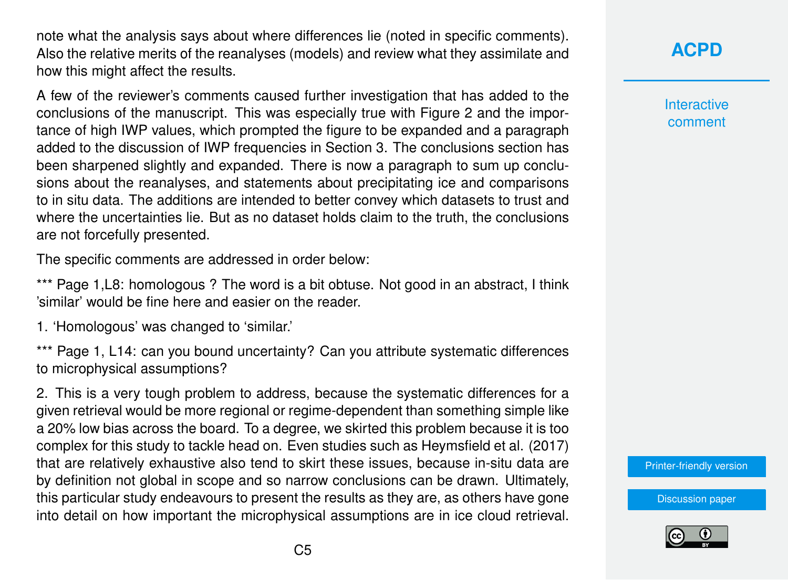note what the analysis says about where differences lie (noted in specific comments). Also the relative merits of the reanalyses (models) and review what they assimilate and how this might affect the results.

A few of the reviewer's comments caused further investigation that has added to the conclusions of the manuscript. This was especially true with Figure 2 and the importance of high IWP values, which prompted the figure to be expanded and a paragraph added to the discussion of IWP frequencies in Section 3. The conclusions section has been sharpened slightly and expanded. There is now a paragraph to sum up conclusions about the reanalyses, and statements about precipitating ice and comparisons to in situ data. The additions are intended to better convey which datasets to trust and where the uncertainties lie. But as no dataset holds claim to the truth, the conclusions are not forcefully presented.

The specific comments are addressed in order below:

\*\*\* Page 1, L8: homologous ? The word is a bit obtuse. Not good in an abstract, I think 'similar' would be fine here and easier on the reader.

1. 'Homologous' was changed to 'similar.'

\*\*\* Page 1, L14; can you bound uncertainty? Can you attribute systematic differences to microphysical assumptions?

2. This is a very tough problem to address, because the systematic differences for a given retrieval would be more regional or regime-dependent than something simple like a 20% low bias across the board. To a degree, we skirted this problem because it is too complex for this study to tackle head on. Even studies such as Heymsfield et al. (2017) that are relatively exhaustive also tend to skirt these issues, because in-situ data are by definition not global in scope and so narrow conclusions can be drawn. Ultimately, this particular study endeavours to present the results as they are, as others have gone into detail on how important the microphysical assumptions are in ice cloud retrieval.

**[ACPD](https://www.atmos-chem-phys-discuss.net/)**

**Interactive** comment

[Printer-friendly version](https://www.atmos-chem-phys-discuss.net/acp-2018-275/acp-2018-275-AC1-print.pdf)

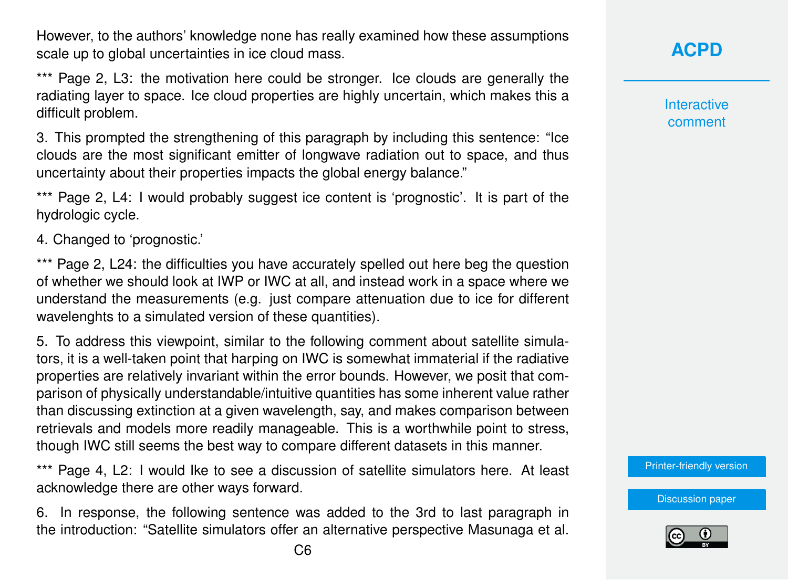However, to the authors' knowledge none has really examined how these assumptions scale up to global uncertainties in ice cloud mass.

\*\*\* Page 2, L3: the motivation here could be stronger. Ice clouds are generally the radiating layer to space. Ice cloud properties are highly uncertain, which makes this a difficult problem.

3. This prompted the strengthening of this paragraph by including this sentence: "Ice clouds are the most significant emitter of longwave radiation out to space, and thus uncertainty about their properties impacts the global energy balance."

\*\*\* Page 2, L4: I would probably suggest ice content is 'prognostic'. It is part of the hydrologic cycle.

4. Changed to 'prognostic.'

\*\*\* Page 2, L24: the difficulties you have accurately spelled out here beg the question of whether we should look at IWP or IWC at all, and instead work in a space where we understand the measurements (e.g. just compare attenuation due to ice for different wavelenghts to a simulated version of these quantities).

5. To address this viewpoint, similar to the following comment about satellite simulators, it is a well-taken point that harping on IWC is somewhat immaterial if the radiative properties are relatively invariant within the error bounds. However, we posit that comparison of physically understandable/intuitive quantities has some inherent value rather than discussing extinction at a given wavelength, say, and makes comparison between retrievals and models more readily manageable. This is a worthwhile point to stress, though IWC still seems the best way to compare different datasets in this manner.

\*\*\* Page 4, L2: I would Ike to see a discussion of satellite simulators here. At least acknowledge there are other ways forward.

6. In response, the following sentence was added to the 3rd to last paragraph in the introduction: "Satellite simulators offer an alternative perspective Masunaga et al.

**[ACPD](https://www.atmos-chem-phys-discuss.net/)**

**Interactive** comment

[Printer-friendly version](https://www.atmos-chem-phys-discuss.net/acp-2018-275/acp-2018-275-AC1-print.pdf)

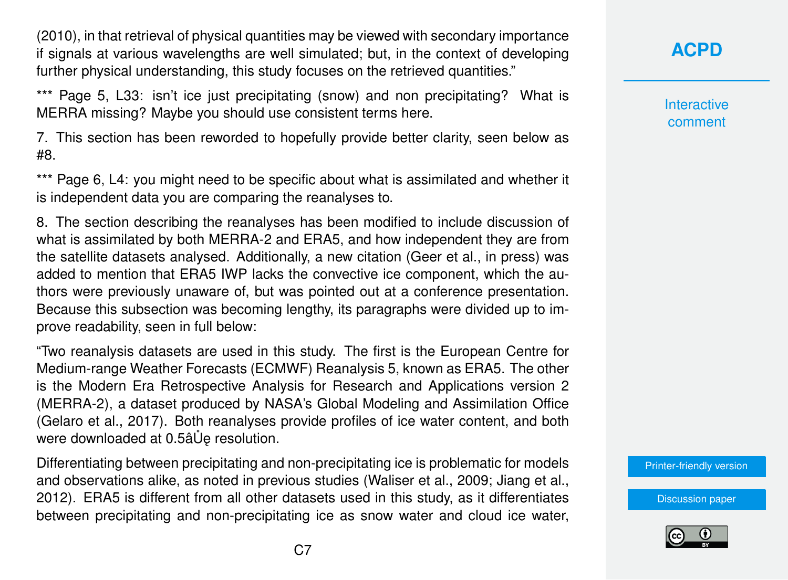(2010), in that retrieval of physical quantities may be viewed with secondary importance if signals at various wavelengths are well simulated; but, in the context of developing further physical understanding, this study focuses on the retrieved quantities."

\*\*\* Page 5, L33: isn't ice just precipitating (snow) and non precipitating? What is MERRA missing? Maybe you should use consistent terms here.

7. This section has been reworded to hopefully provide better clarity, seen below as #8.

\*\*\* Page 6, L4: you might need to be specific about what is assimilated and whether it is independent data you are comparing the reanalyses to.

8. The section describing the reanalyses has been modified to include discussion of what is assimilated by both MERRA-2 and ERA5, and how independent they are from the satellite datasets analysed. Additionally, a new citation (Geer et al., in press) was added to mention that ERA5 IWP lacks the convective ice component, which the authors were previously unaware of, but was pointed out at a conference presentation. Because this subsection was becoming lengthy, its paragraphs were divided up to improve readability, seen in full below:

"Two reanalysis datasets are used in this study. The first is the European Centre for Medium-range Weather Forecasts (ECMWF) Reanalysis 5, known as ERA5. The other is the Modern Era Retrospective Analysis for Research and Applications version 2 (MERRA-2), a dataset produced by NASA's Global Modeling and Assimilation Office (Gelaro et al., 2017). Both reanalyses provide profiles of ice water content, and both were downloaded at 0.5â Ue resolution.

Differentiating between precipitating and non-precipitating ice is problematic for models and observations alike, as noted in previous studies (Waliser et al., 2009; Jiang et al., 2012). ERA5 is different from all other datasets used in this study, as it differentiates between precipitating and non-precipitating ice as snow water and cloud ice water,

# **[ACPD](https://www.atmos-chem-phys-discuss.net/)**

**Interactive** comment

[Printer-friendly version](https://www.atmos-chem-phys-discuss.net/acp-2018-275/acp-2018-275-AC1-print.pdf)

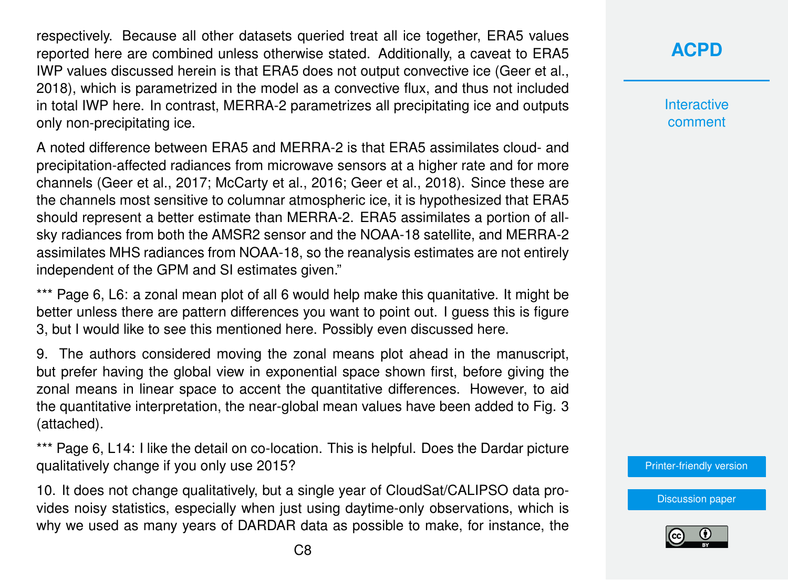respectively. Because all other datasets queried treat all ice together, ERA5 values reported here are combined unless otherwise stated. Additionally, a caveat to ERA5 IWP values discussed herein is that ERA5 does not output convective ice (Geer et al., 2018), which is parametrized in the model as a convective flux, and thus not included in total IWP here. In contrast, MERRA-2 parametrizes all precipitating ice and outputs only non-precipitating ice.

A noted difference between ERA5 and MERRA-2 is that ERA5 assimilates cloud- and precipitation-affected radiances from microwave sensors at a higher rate and for more channels (Geer et al., 2017; McCarty et al., 2016; Geer et al., 2018). Since these are the channels most sensitive to columnar atmospheric ice, it is hypothesized that ERA5 should represent a better estimate than MERRA-2. ERA5 assimilates a portion of allsky radiances from both the AMSR2 sensor and the NOAA-18 satellite, and MERRA-2 assimilates MHS radiances from NOAA-18, so the reanalysis estimates are not entirely independent of the GPM and SI estimates given."

\*\*\* Page 6, L6: a zonal mean plot of all 6 would help make this quanitative. It might be better unless there are pattern differences you want to point out. I guess this is figure 3, but I would like to see this mentioned here. Possibly even discussed here.

9. The authors considered moving the zonal means plot ahead in the manuscript, but prefer having the global view in exponential space shown first, before giving the zonal means in linear space to accent the quantitative differences. However, to aid the quantitative interpretation, the near-global mean values have been added to Fig. 3 (attached).

\*\*\* Page 6, L14: I like the detail on co-location. This is helpful. Does the Dardar picture qualitatively change if you only use 2015?

10. It does not change qualitatively, but a single year of CloudSat/CALIPSO data provides noisy statistics, especially when just using daytime-only observations, which is why we used as many years of DARDAR data as possible to make, for instance, the **Interactive** comment

[Printer-friendly version](https://www.atmos-chem-phys-discuss.net/acp-2018-275/acp-2018-275-AC1-print.pdf)

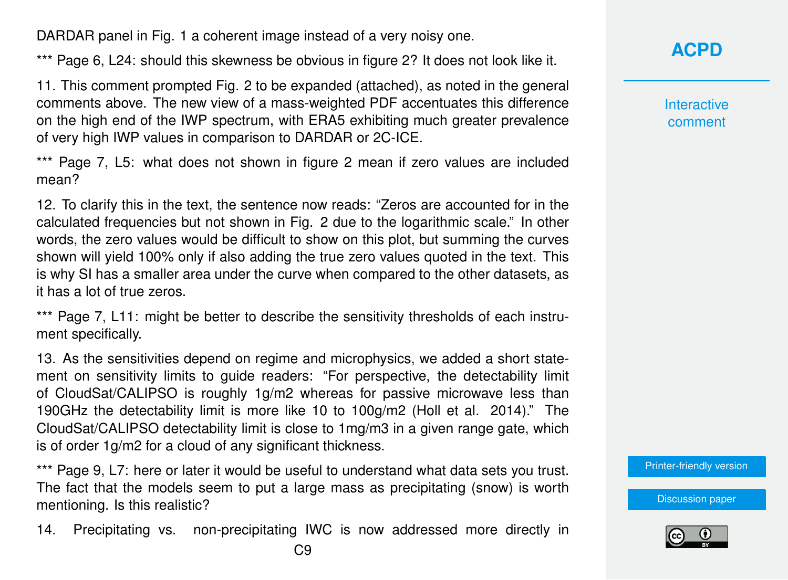DARDAR panel in Fig. 1 a coherent image instead of a very noisy one.

\*\*\* Page 6, L24: should this skewness be obvious in figure 2? It does not look like it.

11. This comment prompted Fig. 2 to be expanded (attached), as noted in the general comments above. The new view of a mass-weighted PDF accentuates this difference on the high end of the IWP spectrum, with ERA5 exhibiting much greater prevalence of very high IWP values in comparison to DARDAR or 2C-ICE.

\*\*\* Page 7, L5: what does not shown in figure 2 mean if zero values are included mean?

12. To clarify this in the text, the sentence now reads: "Zeros are accounted for in the calculated frequencies but not shown in Fig. 2 due to the logarithmic scale." In other words, the zero values would be difficult to show on this plot, but summing the curves shown will yield 100% only if also adding the true zero values quoted in the text. This is why SI has a smaller area under the curve when compared to the other datasets, as it has a lot of true zeros.

\*\*\* Page 7, L11: might be better to describe the sensitivity thresholds of each instrument specifically.

13. As the sensitivities depend on regime and microphysics, we added a short statement on sensitivity limits to guide readers: "For perspective, the detectability limit of CloudSat/CALIPSO is roughly 1g/m2 whereas for passive microwave less than 190GHz the detectability limit is more like 10 to 100g/m2 (Holl et al. 2014)." The CloudSat/CALIPSO detectability limit is close to 1mg/m3 in a given range gate, which is of order 1g/m2 for a cloud of any significant thickness.

\*\*\* Page 9, L7: here or later it would be useful to understand what data sets you trust. The fact that the models seem to put a large mass as precipitating (snow) is worth mentioning. Is this realistic?

14. Precipitating vs. non-precipitating IWC is now addressed more directly in

**[ACPD](https://www.atmos-chem-phys-discuss.net/)**

**Interactive** comment

[Printer-friendly version](https://www.atmos-chem-phys-discuss.net/acp-2018-275/acp-2018-275-AC1-print.pdf)

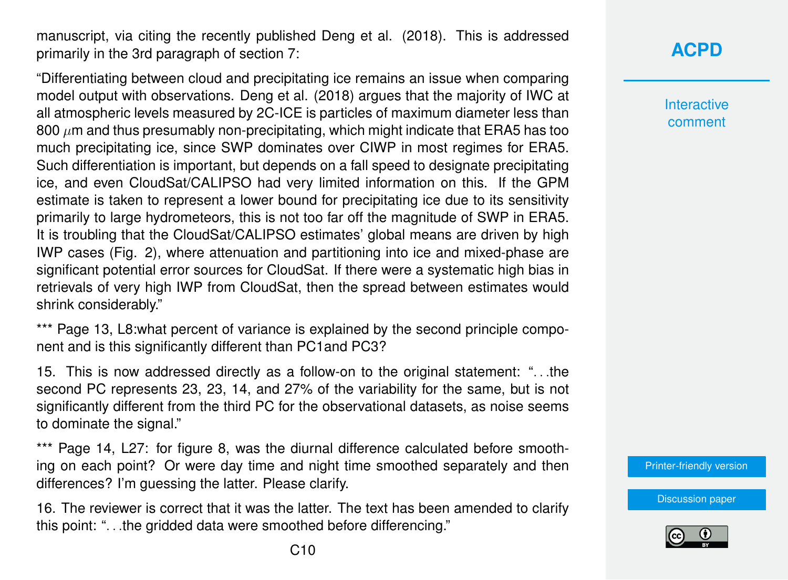manuscript, via citing the recently published Deng et al. (2018). This is addressed primarily in the 3rd paragraph of section 7:

"Differentiating between cloud and precipitating ice remains an issue when comparing model output with observations. Deng et al. (2018) argues that the majority of IWC at all atmospheric levels measured by 2C-ICE is particles of maximum diameter less than 800  $\mu$ m and thus presumably non-precipitating, which might indicate that ERA5 has too much precipitating ice, since SWP dominates over CIWP in most regimes for ERA5. Such differentiation is important, but depends on a fall speed to designate precipitating ice, and even CloudSat/CALIPSO had very limited information on this. If the GPM estimate is taken to represent a lower bound for precipitating ice due to its sensitivity primarily to large hydrometeors, this is not too far off the magnitude of SWP in ERA5. It is troubling that the CloudSat/CALIPSO estimates' global means are driven by high IWP cases (Fig. 2), where attenuation and partitioning into ice and mixed-phase are significant potential error sources for CloudSat. If there were a systematic high bias in retrievals of very high IWP from CloudSat, then the spread between estimates would shrink considerably."

\*\*\* Page 13, L8: what percent of variance is explained by the second principle component and is this significantly different than PC1and PC3?

15. This is now addressed directly as a follow-on to the original statement: ". . .the second PC represents 23, 23, 14, and 27% of the variability for the same, but is not significantly different from the third PC for the observational datasets, as noise seems to dominate the signal."

\*\*\* Page 14, L27: for figure 8, was the diurnal difference calculated before smoothing on each point? Or were day time and night time smoothed separately and then differences? I'm guessing the latter. Please clarify.

16. The reviewer is correct that it was the latter. The text has been amended to clarify this point: ". . .the gridded data were smoothed before differencing."

**Interactive** comment

[Printer-friendly version](https://www.atmos-chem-phys-discuss.net/acp-2018-275/acp-2018-275-AC1-print.pdf)

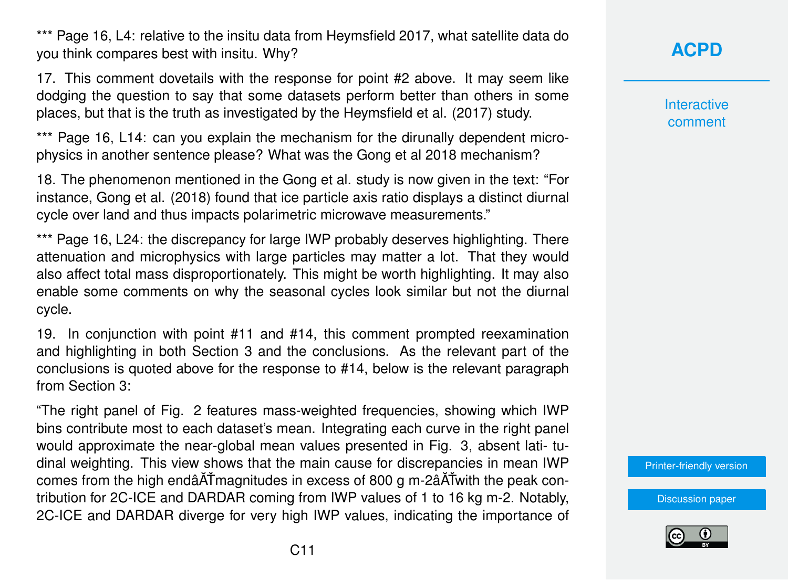\*\*\* Page 16, L4: relative to the insitu data from Heymsfield 2017, what satellite data do you think compares best with insitu. Why?

17. This comment dovetails with the response for point #2 above. It may seem like dodging the question to say that some datasets perform better than others in some places, but that is the truth as investigated by the Heymsfield et al. (2017) study.

\*\*\* Page 16, L14: can you explain the mechanism for the dirunally dependent microphysics in another sentence please? What was the Gong et al 2018 mechanism?

18. The phenomenon mentioned in the Gong et al. study is now given in the text: "For instance, Gong et al. (2018) found that ice particle axis ratio displays a distinct diurnal cycle over land and thus impacts polarimetric microwave measurements."

\*\*\* Page 16, L24: the discrepancy for large IWP probably deserves highlighting. There attenuation and microphysics with large particles may matter a lot. That they would also affect total mass disproportionately. This might be worth highlighting. It may also enable some comments on why the seasonal cycles look similar but not the diurnal cycle.

19. In conjunction with point #11 and #14, this comment prompted reexamination and highlighting in both Section 3 and the conclusions. As the relevant part of the conclusions is quoted above for the response to #14, below is the relevant paragraph from Section 3:

"The right panel of Fig. 2 features mass-weighted frequencies, showing which IWP bins contribute most to each dataset's mean. Integrating each curve in the right panel would approximate the near-global mean values presented in Fig. 3, absent lati- tudinal weighting. This view shows that the main cause for discrepancies in mean IWP comes from the high endâ $\tilde{A}$ Tmagnitudes in excess of 800 g m-2â $\tilde{A}$ Twith the peak contribution for 2C-ICE and DARDAR coming from IWP values of 1 to 16 kg m-2. Notably, 2C-ICE and DARDAR diverge for very high IWP values, indicating the importance of **[ACPD](https://www.atmos-chem-phys-discuss.net/)**

**Interactive** comment

[Printer-friendly version](https://www.atmos-chem-phys-discuss.net/acp-2018-275/acp-2018-275-AC1-print.pdf)

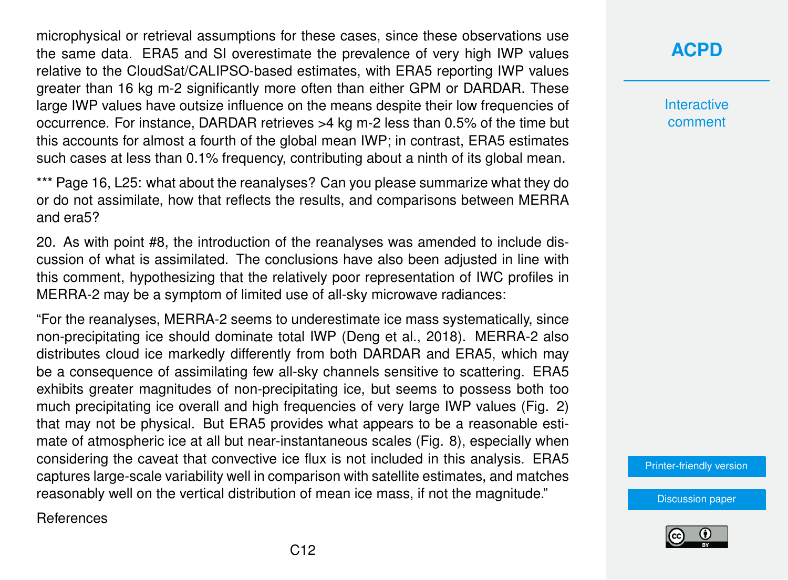microphysical or retrieval assumptions for these cases, since these observations use the same data. ERA5 and SI overestimate the prevalence of very high IWP values relative to the CloudSat/CALIPSO-based estimates, with ERA5 reporting IWP values greater than 16 kg m-2 significantly more often than either GPM or DARDAR. These large IWP values have outsize influence on the means despite their low frequencies of occurrence. For instance, DARDAR retrieves >4 kg m-2 less than 0.5% of the time but this accounts for almost a fourth of the global mean IWP; in contrast, ERA5 estimates such cases at less than 0.1% frequency, contributing about a ninth of its global mean.

\*\*\* Page 16, L25: what about the reanalyses? Can you please summarize what they do or do not assimilate, how that reflects the results, and comparisons between MERRA and era5?

20. As with point #8, the introduction of the reanalyses was amended to include discussion of what is assimilated. The conclusions have also been adjusted in line with this comment, hypothesizing that the relatively poor representation of IWC profiles in MERRA-2 may be a symptom of limited use of all-sky microwave radiances:

"For the reanalyses, MERRA-2 seems to underestimate ice mass systematically, since non-precipitating ice should dominate total IWP (Deng et al., 2018). MERRA-2 also distributes cloud ice markedly differently from both DARDAR and ERA5, which may be a consequence of assimilating few all-sky channels sensitive to scattering. ERA5 exhibits greater magnitudes of non-precipitating ice, but seems to possess both too much precipitating ice overall and high frequencies of very large IWP values (Fig. 2) that may not be physical. But ERA5 provides what appears to be a reasonable estimate of atmospheric ice at all but near-instantaneous scales (Fig. 8), especially when considering the caveat that convective ice flux is not included in this analysis. ERA5 captures large-scale variability well in comparison with satellite estimates, and matches reasonably well on the vertical distribution of mean ice mass, if not the magnitude."

References

### **[ACPD](https://www.atmos-chem-phys-discuss.net/)**

**Interactive** comment

[Printer-friendly version](https://www.atmos-chem-phys-discuss.net/acp-2018-275/acp-2018-275-AC1-print.pdf)

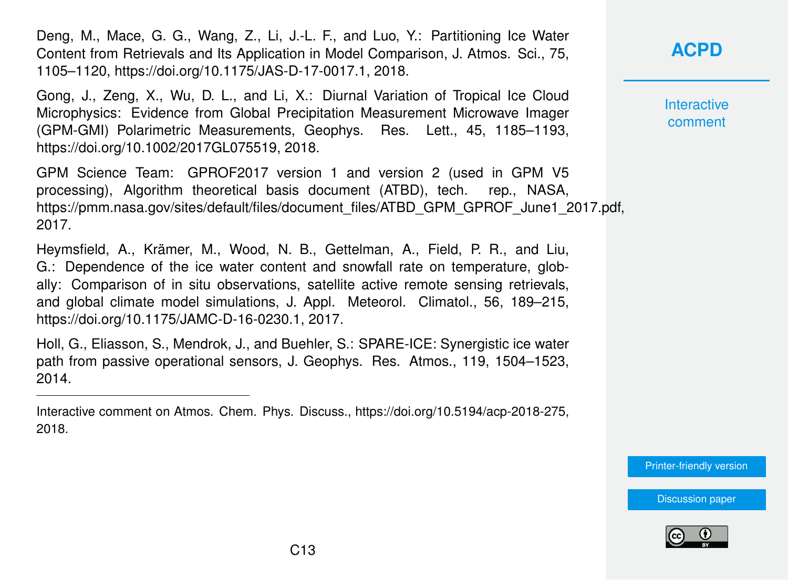Deng, M., Mace, G. G., Wang, Z., Li, J.-L. F., and Luo, Y.: Partitioning Ice Water Content from Retrievals and Its Application in Model Comparison, J. Atmos. Sci., 75, 1105–1120, https://doi.org/10.1175/JAS-D-17-0017.1, 2018.

Gong, J., Zeng, X., Wu, D. L., and Li, X.: Diurnal Variation of Tropical Ice Cloud Microphysics: Evidence from Global Precipitation Measurement Microwave Imager (GPM-GMI) Polarimetric Measurements, Geophys. Res. Lett., 45, 1185–1193, https://doi.org/10.1002/2017GL075519, 2018.

GPM Science Team: GPROF2017 version 1 and version 2 (used in GPM V5 processing), Algorithm theoretical basis document (ATBD), tech. rep., NASA, https://pmm.nasa.gov/sites/default/files/document\_files/ATBD\_GPM\_GPROF\_June1\_2017.pdf, 2017.

Heymsfield, A., Krämer, M., Wood, N. B., Gettelman, A., Field, P. R., and Liu, G.: Dependence of the ice water content and snowfall rate on temperature, globally: Comparison of in situ observations, satellite active remote sensing retrievals, and global climate model simulations, J. Appl. Meteorol. Climatol., 56, 189–215, https://doi.org/10.1175/JAMC-D-16-0230.1, 2017.

Holl, G., Eliasson, S., Mendrok, J., and Buehler, S.: SPARE-ICE: Synergistic ice water path from passive operational sensors, J. Geophys. Res. Atmos., 119, 1504–1523, 2014.

Interactive comment on Atmos. Chem. Phys. Discuss., https://doi.org/10.5194/acp-2018-275, 2018.

Interactive comment

[Printer-friendly version](https://www.atmos-chem-phys-discuss.net/acp-2018-275/acp-2018-275-AC1-print.pdf)

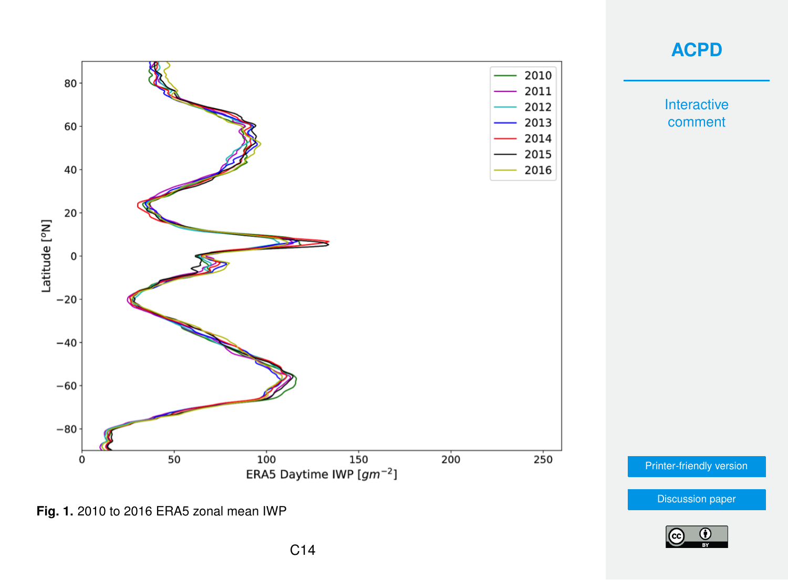

#### **[ACPD](https://www.atmos-chem-phys-discuss.net/)**

**Interactive** comment

[Printer-friendly version](https://www.atmos-chem-phys-discuss.net/acp-2018-275/acp-2018-275-AC1-print.pdf)

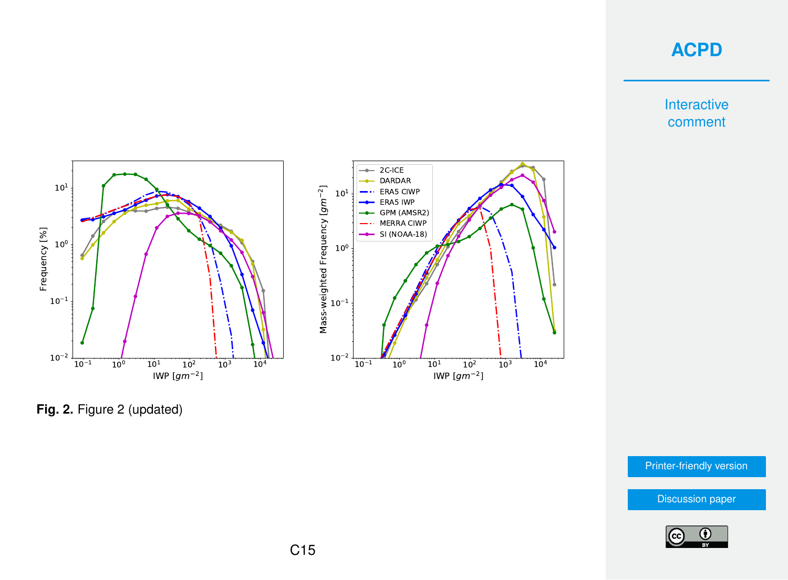**Interactive** comment



**Fig. 2.** Figure 2 (updated)

[Printer-friendly version](https://www.atmos-chem-phys-discuss.net/acp-2018-275/acp-2018-275-AC1-print.pdf)